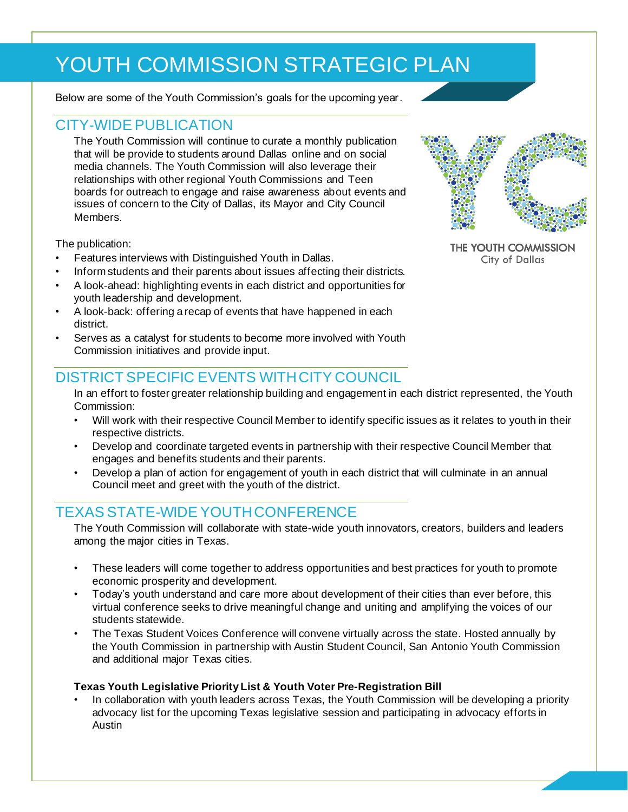# YOUTH COMMISSION STRATEGIC PLAN

Below are some of the Youth Commission's goals for the upcoming year.

### CITY-WIDE PUBLICATION

The Youth Commission will continue to curate a monthly publication that will be provide to students around Dallas online and on social media channels. The Youth Commission will also leverage their relationships with other regional Youth Commissions and Teen boards for outreach to engage and raise awareness about events and issues of concern to the City of Dallas, its Mayor and City Council **Members** 

The publication:

- Features interviews with Distinguished Youth in Dallas.
- Inform students and their parents about issues affecting their districts.
- A look-ahead: highlighting events in each district and opportunities for youth leadership and development.
- A look-back: offering a recap of events that have happened in each district.
- Serves as a catalyst for students to become more involved with Youth Commission initiatives and provide input.

### DISTRICT SPECIFIC EVENTS WITH CITY COUNCIL

In an effort to foster greater relationship building and engagement in each district represented, the Youth Commission:

- Will work with their respective Council Member to identify specific issues as it relates to youth in their respective districts.
- Develop and coordinate targeted events in partnership with their respective Council Member that engages and benefits students and their parents.
- Develop a plan of action for engagement of youth in each district that will culminate in an annual Council meet and greet with the youth of the district.

## TEXAS STATE-WIDE YOUTH CONFERENCE

The Youth Commission will collaborate with state-wide youth innovators, creators, builders and leaders among the major cities in Texas.

- These leaders will come together to address opportunities and best practices for youth to promote economic prosperity and development.
- Today's youth understand and care more about development of their cities than ever before, this virtual conference seeks to drive meaningful change and uniting and amplifying the voices of our students statewide.
- The Texas Student Voices Conference will convene virtually across the state. Hosted annually by the Youth Commission in partnership with Austin Student Council, San Antonio Youth Commission and additional major Texas cities.

#### **Texas Youth Legislative Priority List & Youth Voter Pre-Registration Bill**

• In collaboration with youth leaders across Texas, the Youth Commission will be developing a priority advocacy list for the upcoming Texas legislative session and participating in advocacy efforts in Austin



THE YOUTH COMMISSION **City of Dallas**